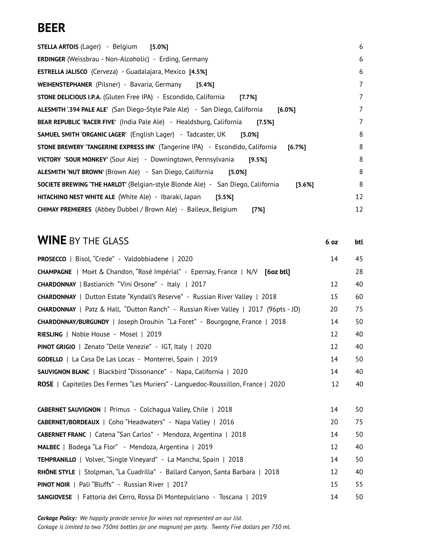# **BEER**

| <b>STELLA ARTOIS (Lager) - Belgium</b><br>[5.0%]                                                 | 6             |
|--------------------------------------------------------------------------------------------------|---------------|
| <b>ERDINGER</b> (Weissbrau - Non-Alcoholic) - Erding, Germany                                    | 6             |
| ESTRELLA JALISCO (Cerveza) - Guadalajara, Mexico [4.5%]                                          | 6             |
| WEIHENSTEPHANER (Pilsner) - Bavaria, Germany<br>[5.4%]                                           | $\mathcal{I}$ |
| <b>STONE DELICIOUS I.P.A.</b> (Gluten Free IPA) - Escondido, California<br>[7.7%]                | 7             |
| ALESMITH '.394 PALE ALE' (San Diego-Style Pale Ale) - San Diego, California<br>$[6.0\%]$         | 7             |
| <b>BEAR REPUBLIC 'RACER FIVE'</b> (India Pale Ale) - Healdsburg, California<br>[7.5%]            | 7             |
| <b>SAMUEL SMITH 'ORGANIC LAGER'</b> (English Lager) - Tadcaster, UK<br>[5.0%]                    | 8             |
| <b>STONE BREWERY 'TANGERINE EXPRESS IPA'</b> (Tangerine IPA) - Escondido, California<br>[6.7%]   | 8             |
| <b>VICTORY 'SOUR MONKEY'</b> (Sour Ale) - Downingtown, Pennsylvania<br>[9.5%]                    | 8             |
| <b>ALESMITH 'NUT BROWN' (Brown Ale) - San Diego, California</b><br>$15.0%$ ]                     | 8             |
| <b>SOCIETE BREWING 'THE HARLOT' (Belgian-style Blonde Ale) - San Diego, California</b><br>[5.6%] | 8             |
| HITACHINO NEST WHITE ALE (White Ale) - Ibaraki, Japan<br>[5.5%]                                  | 12            |
| <b>CHIMAY PREMIERES</b> (Abbey Dubbel / Brown Ale) - Baileux, Belgium<br>[7%]                    | 12            |

## **WINE** BY THE GLASS **<sup>6</sup> oz btl PROSECCO** | Bisol, "Crede" - Valdobbiadene | 2020 14 14 45 **CHAMPAGNE** | Moët & Chandon, "Rosé Impérial" - Epernay, France | N/V **[6oz btl]** 28 **CHARDONNAY** | Bastianich "Vini Orsone" - Italy | 2017 12 40 **CHARDONNAY** | Dutton Estate "Kyndall's Reserve" - Russian River Valley | 2018 15 60 **CHARDONNAY** | Patz & Hall, "Dutton Ranch" - Russian River Valley | 2017 (96pts - JD) 20 75 **CHARDONNAY/BURGUNDY** | Joseph Drouhin "La Foret" - Bourgogne, France | 2018 14 50 **RIESLING** | Noble House - Mosel | 2019 12 40 **PINOT GRIGIO** | Zenato "Delle Venezie" - IGT, Italy | 2020 12 40 **GODELLO** | La Casa De Las Locas - Monterrei, Spain | 2019 14 50 **SAUVIGNON BLANC** | Blackbird "Dissonance" - Napa, California | 2020 14 14 40 **ROSE** | Capitelles Des Fermes "Les Muriers" - Languedoc-Roussillon, France | 2020 12 40 **CABERNET SAUVIGNON** | Primus - Colchagua Valley, Chile | 2018 14 50 **CABERNET/BORDEAUX** | Coho "Headwaters" - Napa Valley | 2016 20 75 **CABERNET FRANC** | Catena "San Carlos" - Mendoza, Argentina | 2018 14 50 **MALBEC** | Bodega "La Flor" - Mendoza, Argentina | 2019 12 12 40 **TEMPRANILLO** | Volver, "Single Vineyard" - La Mancha, Spain | 2018 14 50 **RHÔNE STYLE** | Stolpman, "La Cuadrilla" - Ballard Canyon, Santa Barbara | 2018 12 40 **PINOT NOIR** | Pali "Bluffs" - Russian River | 2017 15 15 55 **SANGIOVESE** | Fattoria del Cerro, Rossa Di Montepulciano - Toscana | 2019 14 50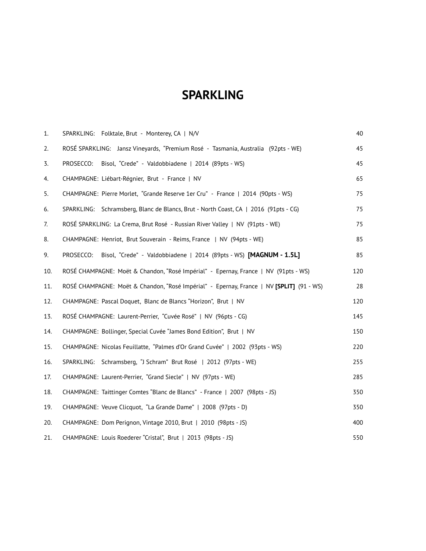# **SPARKLING**

| 1.  | SPARKLING: Folktale, Brut - Monterey, CA   N/V                                           | 40  |
|-----|------------------------------------------------------------------------------------------|-----|
| 2.  | ROSÉ SPARKLING: Jansz Vineyards, "Premium Rosé - Tasmania, Australia (92pts - WE)        | 45  |
| 3.  | Bisol, "Crede" - Valdobbiadene   2014 (89pts - WS)<br>PROSECCO:                          | 45  |
| 4.  | CHAMPAGNE: Liébart-Régnier, Brut - France   NV                                           | 65  |
| 5.  | CHAMPAGNE: Pierre Morlet, "Grande Reserve 1er Cru" - France   2014 (90pts - WS)          | 75  |
| 6.  | SPARKLING: Schramsberg, Blanc de Blancs, Brut - North Coast, CA   2016 (91pts - CG)      | 75  |
| 7.  | ROSÉ SPARKLING: La Crema, Brut Rosé - Russian River Valley   NV (91pts - WE)             | 75  |
| 8.  | CHAMPAGNE: Henriot, Brut Souverain - Reims, France   NV (94pts - WE)                     | 85  |
| 9.  | Bisol, "Crede" - Valdobbiadene   2014 (89pts - WS) [MAGNUM - 1.5L]<br>PROSECCO:          | 85  |
| 10. | ROSÉ CHAMPAGNE: Moët & Chandon, "Rosé Impérial" - Epernay, France   NV (91pts - WS)      | 120 |
| 11. | ROSÉ CHAMPAGNE: Moët & Chandon, "Rosé Impérial" - Epernay, France   NV [SPLIT] (91 - WS) | 28  |
| 12. | CHAMPAGNE: Pascal Doquet, Blanc de Blancs "Horizon", Brut   NV                           | 120 |
| 13. | ROSÉ CHAMPAGNE: Laurent-Perrier, "Cuvée Rosé"   NV (96pts - CG)                          | 145 |
| 14. | CHAMPAGNE: Bollinger, Special Cuvée "James Bond Edition", Brut   NV                      | 150 |
| 15. | CHAMPAGNE: Nicolas Feuillatte, "Palmes d'Or Grand Cuvée"   2002 (93pts - WS)             | 220 |
| 16. | SPARKLING: Schramsberg, "J Schram" Brut Rosé   2012 (97pts - WE)                         | 255 |
| 17. | CHAMPAGNE: Laurent-Perrier, "Grand Siecle"   NV (97pts - WE)                             | 285 |
| 18. | CHAMPAGNE: Taittinger Comtes "Blanc de Blancs" - France   2007 (98pts - JS)              | 350 |
| 19. | CHAMPAGNE: Veuve Clicquot, "La Grande Dame"   2008 (97pts - D)                           | 350 |
| 20. | CHAMPAGNE: Dom Perignon, Vintage 2010, Brut   2010 (98pts - JS)                          | 400 |
| 21. | CHAMPAGNE: Louis Roederer "Cristal", Brut   2013 (98pts - JS)                            | 550 |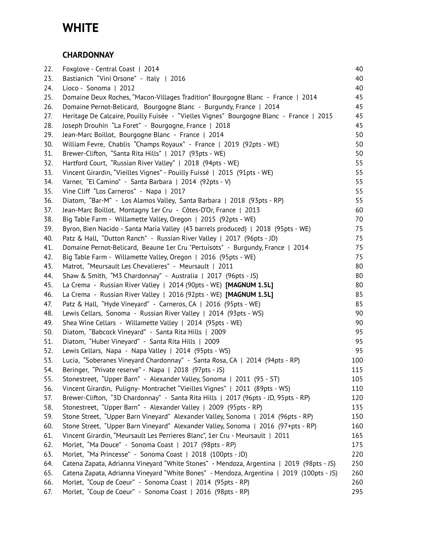# **WHITE**

## **CHARDONNAY**

| 22. | Foxglove - Central Coast   2014                                                          | 40  |
|-----|------------------------------------------------------------------------------------------|-----|
| 23. | Bastianich "Vini Orsone" - Italy   2016                                                  | 40  |
| 24. | Lioco - Sonoma   2012                                                                    | 40  |
| 25. | Domaine Deux Roches, "Macon-Villages Tradition" Bourgogne Blanc - France   2014          | 45  |
| 26. | Domaine Pernot-Belicard, Bourgogne Blanc - Burgundy, France   2014                       | 45  |
| 27. | Heritage De Calcaire, Pouilly Fuisée - "Vielles Vignes" Bourgogne Blanc - France   2015  | 45  |
| 28. | Joseph Drouhin "La Foret" - Bourgogne, France   2018                                     | 45  |
| 29. | Jean-Marc Boillot, Bourgogne Blanc - France   2014                                       | 50  |
| 30. | William Fevre, Chablis "Champs Royaux" - France   2019 (92pts - WE)                      | 50  |
| 31. | Brewer-Clifton, "Santa Rita Hills"   2017 (93pts - WE)                                   | 50  |
| 32. | Hartford Court, "Russian River Valley"   2018 (94pts - WE)                               | 55  |
| 33. | Vincent Girardin, "Vieilles Vignes" - Pouilly Fuissé   2015 (91pts - WE)                 | 55  |
| 34. | Varner, "El Camino" - Santa Barbara   2014 (92pts - V)                                   | 55  |
| 35. | Vine Cliff "Los Carneros" - Napa   2017                                                  | 55  |
| 36. | Diatom, "Bar-M" - Los Alamos Valley, Santa Barbara   2018 (93pts - RP)                   | 55  |
| 37. | Jean-Marc Boillot, Montagny 1er Cru - Côtes-D'Or, France   2013                          | 60  |
| 38. | Big Table Farm - Willamette Valley, Oregon   2015 (92pts - WE)                           | 70  |
| 39. | Byron, Bien Nacido - Santa Maria Valley (43 barrels produced)   2018 (95pts - WE)        | 75  |
| 40. | Patz & Hall, "Dutton Ranch" - Russian River Valley   2017 (96pts - JD)                   | 75  |
| 41. | Domaine Pernot-Belicard, Beaune 1er Cru "Pertuisots" - Burgundy, France   2014           | 75  |
| 42. | Big Table Farm - Willamette Valley, Oregon   2016 (95pts - WE)                           | 75  |
| 43. | Matrot, "Meursault Les Chevalieres" - Meursault   2011                                   | 80  |
| 44. | Shaw & Smith, "M3 Chardonnay" - Australia   2017 (96pts - JS)                            | 80  |
| 45. | La Crema - Russian River Valley   2014 (90pts - WE) [MAGNUM 1.5L]                        | 80  |
| 46. | La Crema - Russian River Valley   2016 (92pts - WE) [MAGNUM 1.5L]                        | 85  |
| 47. | Patz & Hall, "Hyde Vineyard" - Carneros, CA   2016 (95pts - WE)                          | 85  |
| 48. | Lewis Cellars, Sonoma - Russian River Valley   2014 (93pts - WS)                         | 90  |
| 49. | Shea Wine Cellars - Willamette Valley   2014 (95pts - WE)                                | 90  |
| 50. | Diatom, "Babcock Vineyard" - Santa Rita Hills   2009                                     | 95  |
| 51. | Diatom, "Huber Vineyard" - Santa Rita Hills   2009                                       | 95  |
| 52. | Lewis Cellars, Napa - Napa Valley   2014 (95pts - WS)                                    | 95  |
| 53. | Lucia, "Soberanes Vineyard Chardonnay" - Santa Rosa, CA   2014 (94pts - RP)              | 100 |
| 54. | Beringer, "Private reserve" - Napa   2018 (97pts - JS)                                   | 115 |
| 55. | Stonestreet, "Upper Barn" - Alexander Valley, Sonoma   2011 (95 - ST)                    | 105 |
| 56. | Vincent Girardin, Puligny-Montrachet "Vieilles Vignes"   2011 (89pts - WS)               | 110 |
| 57. | Brewer-Clifton, "3D Chardonnay" - Santa Rita Hills   2017 (96pts - JD, 95pts - RP)       | 120 |
| 58. | Stonestreet, "Upper Barn" - Alexander Valley   2009 (95pts - RP)                         | 135 |
| 59. | Stone Street, "Upper Barn Vineyard" Alexander Valley, Sonoma   2014 (96pts - RP)         | 150 |
| 60. | Stone Street, "Upper Barn Vineyard" Alexander Valley, Sonoma   2016 (97+pts - RP)        | 160 |
| 61. | Vincent Girardin, "Meursault Les Perrieres Blanc", 1er Cru - Meursault   2011            | 165 |
| 62. | Morlet, "Ma Douce" - Sonoma Coast   2017 (98pts - RP)                                    | 175 |
| 63. | Morlet, "Ma Princesse" - Sonoma Coast   2018 (100pts - JD)                               | 220 |
| 64. | Catena Zapata, Adrianna Vineyard "White Stones" - Mendoza, Argentina   2019 (98pts - JS) | 250 |
| 65. | Catena Zapata, Adrianna Vineyard "White Bones" - Mendoza, Argentina   2019 (100pts - JS) | 260 |
| 66. | Morlet, "Coup de Coeur" - Sonoma Coast   2014 (95pts - RP)                               | 260 |
| 67. | Morlet, "Coup de Coeur" - Sonoma Coast   2016 (98pts - RP)                               | 295 |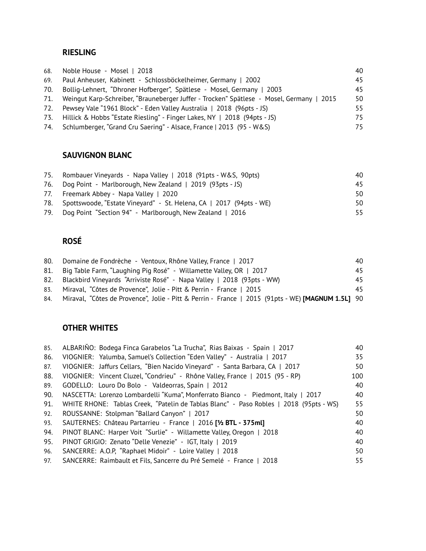### **RIESLING**

| 68. | Noble House - Mosel   2018                                                               | 40  |
|-----|------------------------------------------------------------------------------------------|-----|
| 69. | Paul Anheuser, Kabinett - Schlossböckelheimer, Germany   2002                            | 45  |
| 70. | Bollig-Lehnert, "Dhroner Hofberger", Spätlese - Mosel, Germany   2003                    | 45  |
| 71. | Weingut Karp-Schreiber, "Brauneberger Juffer - Trocken" Spätlese - Mosel, Germany   2015 | 50  |
| 72. | Pewsey Vale "1961 Block" - Eden Valley Australia   2018 (96pts - JS)                     | 55. |
|     | 73. Hillick & Hobbs "Estate Riesling" - Finger Lakes, NY   2018 (94pts - JS)             | 75  |
|     | 74. Schlumberger, "Grand Cru Saering" - Alsace, France   2013 (95 - W&S)                 | 75  |

## **SAUVIGNON BLANC**

| 75. Rombauer Vineyards - Napa Valley   2018 (91pts - W&S, 90pts)        | 40. |
|-------------------------------------------------------------------------|-----|
| 76. Dog Point - Marlborough, New Zealand   2019 (93pts - JS)            | 45  |
| 77. Freemark Abbey - Napa Valley   2020                                 | 50. |
| 78. Spottswoode, "Estate Vineyard" - St. Helena, CA   2017 (94pts - WE) | 50. |
| 79. Dog Point "Section 94" - Marlborough, New Zealand   2016            | 55. |

## **ROSÉ**

| 80. | Domaine de Fondrèche - Ventoux, Rhône Valley, France   2017                                              | 40  |
|-----|----------------------------------------------------------------------------------------------------------|-----|
|     | 81. Big Table Farm, "Laughing Pig Rosé" - Willamette Valley, OR   2017                                   | 45  |
|     | 82. Blackbird Vineyards "Arriviste Rosé" - Napa Valley   2018 (93pts - WW)                               | 45. |
|     | 83. Miraval, "Côtes de Provence", Jolie - Pitt & Perrin - France   2015                                  | 45. |
| 84. | Miraval, "Côtes de Provence", Jolie - Pitt & Perrin - France   2015 (91pts - WE) <b>[MAGNUM 1.5L]</b> 90 |     |

## **OTHER WHITES**

| 85. | ALBARIÑO: Bodega Finca Garabelos "La Trucha", Rias Baixas - Spain   2017               | 40  |
|-----|----------------------------------------------------------------------------------------|-----|
| 86. | VIOGNIER: Yalumba, Samuel's Collection "Eden Valley" - Australia   2017                | 35  |
| 87. | VIOGNIER: Jaffurs Cellars, "Bien Nacido Vineyard" - Santa Barbara, CA   2017           | 50  |
| 88. | VIOGNIER: Vincent Cluzel, "Condrieu" - Rhône Valley, France   2015 (95 - RP)           | 100 |
| 89. | GODELLO: Louro Do Bolo - Valdeorras, Spain   2012                                      | 40  |
| 90. | NASCETTA: Lorenzo Lombardelli "Kuma", Monferrato Bianco - Piedmont, Italy   2017       | 40  |
| 91. | WHITE RHONE: Tablas Creek, "Patelin de Tablas Blanc" - Paso Robles   2018 (95pts - WS) | 55  |
| 92. | ROUSSANNE: Stolpman "Ballard Canyon"   2017                                            | 50  |
| 93. | SAUTERNES: Château Partarrieu - France   2016 [1/2 BTL - 375ml]                        | 40  |
| 94. | PINOT BLANC: Harper Voit "Surlie" - Willamette Valley, Oregon   2018                   | 40  |
| 95. | PINOT GRIGIO: Zenato "Delle Venezie" - IGT, Italy   2019                               | 40  |
| 96. | SANCERRE: A.O.P. "Raphael Midoir" - Loire Valley   2018                                | 50  |
| 97. | SANCERRE: Raimbault et Fils, Sancerre du Pré Semelé - France   2018                    | 55  |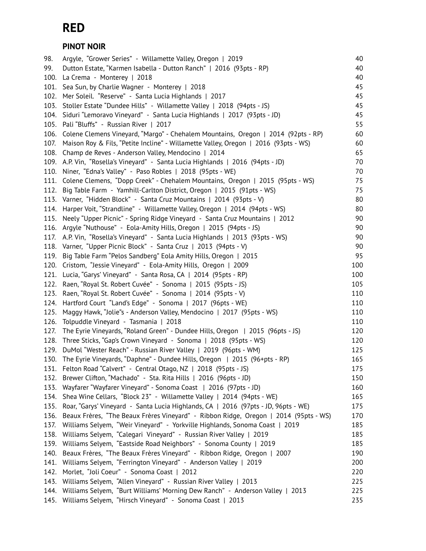# **RED**

## **PINOT NOIR**

| 98.  | Argyle, "Grower Series" - Willamette Valley, Oregon   2019                           | 40  |
|------|--------------------------------------------------------------------------------------|-----|
| 99.  | Dutton Estate, "Karmen Isabella - Dutton Ranch"   2016 (93pts - RP)                  | 40  |
| 100. | La Crema - Monterey   2018                                                           | 40  |
| 101. | Sea Sun, by Charlie Wagner - Monterey   2018                                         | 45  |
| 102. | Mer Soleil. "Reserve" - Santa Lucia Highlands   2017                                 | 45  |
| 103. | Stoller Estate "Dundee Hills" - Willamette Valley   2018 (94pts - JS)                | 45  |
| 104. | Siduri "Lemoravo Vineyard" - Santa Lucia Highlands   2017 (93pts - JD)               | 45  |
| 105. | Pali "Bluffs" - Russian River   2017                                                 | 55  |
| 106. | Colene Clemens Vineyard, "Margo" - Chehalem Mountains, Oregon   2014 (92pts - RP)    | 60  |
| 107. | Maison Roy & Fils, "Petite Incline" - Willamette Valley, Oregon   2016 (93pts - WS)  | 60  |
| 108. | Champ de Reves - Anderson Valley, Mendocino   2014                                   | 65  |
| 109. | A.P. Vin, "Rosella's Vineyard" - Santa Lucia Highlands   2016 (94pts - JD)           | 70  |
| 110. | Niner, "Edna's Valley" - Paso Robles   2018 (95pts - WE)                             | 70  |
| 111. | Colene Clemens, "Dopp Creek" - Chehalem Mountains, Oregon   2015 (95pts - WS)        | 75  |
| 112. | Big Table Farm - Yamhill-Carlton District, Oregon   2015 (91pts - WS)                | 75  |
| 113. | Varner, "Hidden Block" - Santa Cruz Mountains   2014 (93pts - V)                     | 80  |
| 114. | Harper Voit, "Strandline" - Willamette Valley, Oregon   2014 (94pts - WS)            | 80  |
| 115. | Neely "Upper Picnic" - Spring Ridge Vineyard - Santa Cruz Mountains   2012           | 90  |
| 116. | Argyle "Nuthouse" - Eola-Amity Hills, Oregon   2015 (94pts - JS)                     | 90  |
| 117. | A.P. Vin, "Rosella's Vineyard" - Santa Lucia Highlands   2013 (93pts - WS)           | 90  |
| 118. | Varner, "Upper Picnic Block" - Santa Cruz   2013 (94pts - V)                         | 90  |
| 119. | Big Table Farm "Pelos Sandberg" Eola Amity Hills, Oregon   2015                      | 95  |
| 120. | Cristom, "Jessie Vineyard" - Eola-Amity Hills, Oregon   2009                         | 100 |
| 121. | Lucia, "Garys' Vineyard" - Santa Rosa, CA   2014 (95pts - RP)                        | 100 |
| 122. | Raen, "Royal St. Robert Cuvée" - Sonoma   2015 (95pts - JS)                          | 105 |
| 123. | Raen, "Royal St. Robert Cuvée" - Sonoma   2014 (95pts - V)                           | 110 |
| 124. | Hartford Court "Land's Edge" - Sonoma   2017 (96pts - WE)                            | 110 |
| 125. | Maggy Hawk, "Jolie"s - Anderson Valley, Mendocino   2017 (95pts - WS)                | 110 |
| 126. | Tolpuddle Vineyard - Tasmania   2018                                                 | 110 |
| 127. | The Eyrie Vineyards, "Roland Green" - Dundee Hills, Oregon   2015 (96pts - JS)       | 120 |
| 128. | Three Sticks, "Gap's Crown Vineyard - Sonoma   2018 (95pts - WS)                     | 120 |
| 129. | DuMol "Wester Reach" - Russian River Valley   2019 (96pts - WM)                      | 125 |
|      | 130. The Eyrie Vineyards, "Daphne" - Dundee Hills, Oregon   2015 (96+pts - RP)       | 165 |
| 131. | Felton Road "Calvert" - Central Otago, NZ   2018 (95pts - JS)                        | 175 |
| 132. | Brewer Clifton, "Machado" - Sta. Rita Hills   2016 (96pts - JD)                      | 150 |
| 133. | Wayfarer "Wayfarer Vineyard" - Sonoma Coast   2016 (97pts - JD)                      | 160 |
| 134. | Shea Wine Cellars, "Block 23" - Willamette Valley   2014 (94pts - WE)                | 165 |
| 135. | Roar, "Garys' Vineyard - Santa Lucia Highlands, CA   2016 (97pts - JD, 96pts - WE)   | 175 |
| 136. | Beaux Frères, "The Beaux Frères Vineyard" - Ribbon Ridge, Oregon   2014 (95pts - WS) | 170 |
| 137. | Williams Selyem, "Weir Vineyard" - Yorkville Highlands, Sonoma Coast   2019          | 185 |
| 138. | Williams Selyem, "Calegari Vineyard" - Russian River Valley   2019                   | 185 |
| 139. | Williams Selyem, "Eastside Road Neighbors" - Sonoma County   2019                    | 185 |
| 140. | Beaux Frères, "The Beaux Frères Vineyard" - Ribbon Ridge, Oregon   2007              | 190 |
| 141. | Williams Selyem, "Ferrington Vineyard" - Anderson Valley   2019                      | 200 |
| 142. | Morlet, "Joli Coeur" - Sonoma Coast   2012                                           | 220 |
| 143. | Williams Selyem, "Allen Vineyard" - Russian River Valley   2013                      | 225 |
| 144. | Williams Selyem, "Burt Williams' Morning Dew Ranch" - Anderson Valley   2013         | 225 |
| 145. | Williams Selyem, "Hirsch Vineyard" - Sonoma Coast   2013                             | 235 |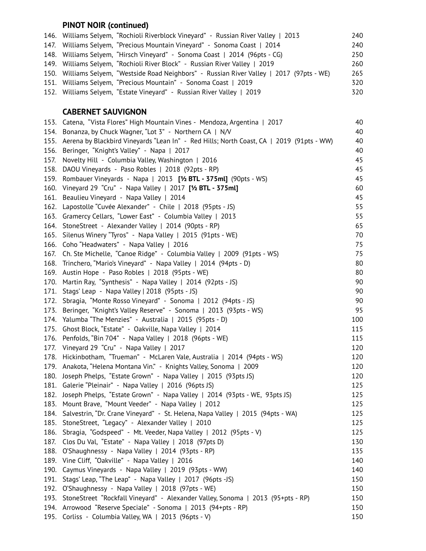## **PINOT NOIR (continued)**

| 146. Williams Selyem, "Rochioli Riverblock Vineyard" - Russian River Valley   2013         | 240 |
|--------------------------------------------------------------------------------------------|-----|
| 147. Williams Selyem, "Precious Mountain Vineyard" - Sonoma Coast   2014                   | 240 |
| 148. Williams Selyem, "Hirsch Vineyard" - Sonoma Coast   2014 (96pts - CG)                 | 250 |
| 149. Williams Selyem, "Rochioli River Block" - Russian River Valley   2019                 | 260 |
| 150. Williams Selyem, "Westside Road Neighbors" - Russian River Valley   2017 (97pts - WE) | 265 |
| 151. Williams Selyem, "Precious Mountain" - Sonoma Coast   2019                            | 320 |
| 152. Williams Selyem, "Estate Vineyard" - Russian River Valley   2019                      | 320 |

## **CABERNET SAUVIGNON**

| 153. | Catena, "Vista Flores" High Mountain Vines - Mendoza, Argentina   2017                   | 40  |
|------|------------------------------------------------------------------------------------------|-----|
| 154. | Bonanza, by Chuck Wagner, "Lot 3" - Northern CA   N/V                                    | 40  |
| 155. | Aerena by Blackbird Vineyards "Lean In" - Red Hills; North Coast, CA   2019 (91pts - WW) | 40  |
| 156. | Beringer, "Knight's Valley" - Napa   2017                                                | 40  |
| 157. | Novelty Hill - Columbia Valley, Washington   2016                                        | 45  |
| 158. | DAOU Vineyards - Paso Robles   2018 (92pts - RP)                                         | 45  |
| 159. | Rombauer Vineyards - Napa   2013 [1/2 BTL - 375ml] (90pts - WS)                          | 45  |
| 160. | Vineyard 29 "Cru" - Napa Valley   2017 [1/2 BTL - 375ml]                                 | 60  |
| 161. | Beaulieu Vineyard - Napa Valley   2014                                                   | 45  |
| 162. | Lapostolle "Cuvée Alexander" - Chile   2018 (95pts - JS)                                 | 55  |
| 163. | Gramercy Cellars, "Lower East" - Columbia Valley   2013                                  | 55  |
| 164. | StoneStreet - Alexander Valley   2014 (90pts - RP)                                       | 65  |
| 165. | Silenus Winery "Tyros" - Napa Valley   2015 (91pts - WE)                                 | 70  |
| 166. | Coho "Headwaters" - Napa Valley   2016                                                   | 75  |
| 167. | Ch. Ste Michelle, "Canoe Ridge" - Columbia Valley   2009 (91pts - WS)                    | 75  |
| 168. | Trinchero, "Mario's Vineyard" - Napa Valley   2014 (94pts - D)                           | 80  |
| 169. | Austin Hope - Paso Robles   2018 (95pts - WE)                                            | 80  |
| 170. | Martin Ray, "Synthesis" - Napa Valley   2014 (92pts - JS)                                | 90  |
| 171. | Stags' Leap - Napa Valley   2018 (95pts - JS)                                            | 90  |
| 172. | Sbragia, "Monte Rosso Vineyard" - Sonoma   2012 (94pts - JS)                             | 90  |
| 173. | Beringer, "Knight's Valley Reserve" - Sonoma   2013 (93pts - WS)                         | 95  |
| 174. | Yalumba "The Menzies" - Australia   2015 (95pts - D)                                     | 100 |
| 175. | Ghost Block, "Estate" - Oakville, Napa Valley   2014                                     | 115 |
| 176. | Penfolds, "Bin 704" - Napa Valley   2018 (96pts - WE)                                    | 115 |
| 177. | Vineyard 29 "Cru" - Napa Valley   2017                                                   | 120 |
| 178. | Hickinbotham, "Trueman" - McLaren Vale, Australia   2014 (94pts - WS)                    | 120 |
| 179. | Anakota, "Helena Montana Vin." - Knights Valley, Sonoma   2009                           | 120 |
| 180. | Joseph Phelps, "Estate Grown" - Napa Valley   2015 (93pts JS)                            | 120 |
| 181. | Galerie "Pleinair" - Napa Valley   2016 (96pts JS)                                       | 125 |
| 182. | Joseph Phelps, "Estate Grown" - Napa Valley   2014 (93pts - WE, 93pts JS)                | 125 |
| 183. | Mount Brave, "Mount Veeder" - Napa Valley   2012                                         | 125 |
|      | 184. Salvestrin, "Dr. Crane Vineyard" - St. Helena, Napa Valley   2015 (94pts - WA)      | 125 |
| 185. | StoneStreet, "Legacy" - Alexander Valley   2010                                          | 125 |
| 186. | Sbragia, "Godspeed" - Mt. Veeder, Napa Valley   2012 (95pts - V)                         | 125 |
| 187. | Clos Du Val, "Estate" - Napa Valley   2018 (97pts D)                                     | 130 |
| 188. | O'Shaughnessy - Napa Valley   2014 (93pts - RP)                                          | 135 |
| 189. | Vine Cliff, "Oakville" - Napa Valley   2016                                              | 140 |
| 190. | Caymus Vineyards - Napa Valley   2019 (93pts - WW)                                       | 140 |
| 191. | Stags' Leap, "The Leap" - Napa Valley   2017 (96pts -JS)                                 | 150 |
| 192. | O'Shaughnessy - Napa Valley   2018 (97pts - WE)                                          | 150 |
| 193. | StoneStreet "Rockfall Vineyard" - Alexander Valley, Sonoma   2013 (95+pts - RP)          | 150 |
| 194. | Arrowood "Reserve Speciale" - Sonoma   2013 (94+pts - RP)                                | 150 |
| 195. | Corliss - Columbia Valley, WA   2013 (96pts - V)                                         | 150 |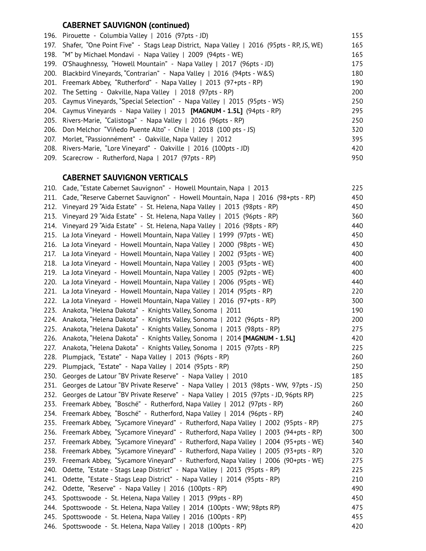## **CABERNET SAUVIGNON (continued)**

|      | 196. Pirouette - Columbia Valley   2016 (97pts - JD)                                    | 155 |
|------|-----------------------------------------------------------------------------------------|-----|
| 197. | Shafer, "One Point Five" - Stags Leap District, Napa Valley   2016 (95pts - RP, JS, WE) | 165 |
|      | 198. "M" by Michael Mondavi - Napa Valley   2009 (94pts - WE)                           | 165 |
| 199. | O'Shaughnessy, "Howell Mountain" - Napa Valley   2017 (96pts - JD)                      | 175 |
|      | 200. Blackbird Vineyards, "Contrarian" - Napa Valley   2016 (94pts - W&S)               | 180 |
|      | 201. Freemark Abbey, "Rutherford" - Napa Valley   2013 (97+pts - RP)                    | 190 |
|      | 202. The Setting - Oakville, Napa Valley   2018 (97pts - RP)                            | 200 |
|      | 203. Caymus Vineyards, "Special Selection" - Napa Valley   2015 (95pts - WS)            | 250 |
|      | 204. Caymus Vineyards - Napa Valley   2013 <b>[MAGNUM - 1.5L]</b> (94pts - RP)          | 295 |
|      | 205. Rivers-Marie, "Calistoga" - Napa Valley   2016 (96pts - RP)                        | 250 |
|      | 206. Don Melchor "Viñedo Puente Alto" - Chile   2018 (100 pts - JS)                     | 320 |
| 207. | Morlet, "Passionnément" - Oakville, Napa Valley   2012                                  | 395 |
|      | 208. Rivers-Marie, "Lore Vineyard" - Oakville   2016 (100pts - JD)                      | 420 |
|      | 209. Scarecrow - Rutherford, Napa   2017 (97pts - RP)                                   | 950 |
|      |                                                                                         |     |

## **CABERNET SAUVIGNON VERTICALS**

| 210. Cade, "Estate Cabernet Sauvignon" - Howell Mountain, Napa   2013                | 225 |
|--------------------------------------------------------------------------------------|-----|
| Cade, "Reserve Cabernet Sauvignon" - Howell Mountain, Napa   2016 (98+pts - RP)      | 450 |
| Vineyard 29 "Aida Estate" - St. Helena, Napa Valley   2013 (98pts - RP)              | 450 |
| Vineyard 29 "Aida Estate" - St. Helena, Napa Valley   2015 (96pts - RP)              | 360 |
| Vineyard 29 "Aida Estate" - St. Helena, Napa Valley   2016 (98pts - RP)              | 440 |
| La Jota Vineyard - Howell Mountain, Napa Valley   1999 (97pts - WE)                  | 450 |
| La Jota Vineyard - Howell Mountain, Napa Valley   2000 (98pts - WE)                  | 430 |
| La Jota Vineyard - Howell Mountain, Napa Valley   2002 (93pts - WE)                  | 400 |
| La Jota Vineyard - Howell Mountain, Napa Valley   2003 (93pts - WE)                  | 400 |
| La Jota Vineyard - Howell Mountain, Napa Valley   2005 (92pts - WE)                  | 400 |
| La Jota Vineyard - Howell Mountain, Napa Valley   2006 (95pts - WE)                  | 440 |
| La Jota Vineyard - Howell Mountain, Napa Valley   2014 (95pts - RP)                  | 220 |
| La Jota Vineyard - Howell Mountain, Napa Valley   2016 (97+pts - RP)                 | 300 |
| Anakota, "Helena Dakota" - Knights Valley, Sonoma   2011                             | 190 |
| Anakota, "Helena Dakota" - Knights Valley, Sonoma   2012 (96pts - RP)                | 200 |
| Anakota, "Helena Dakota" - Knights Valley, Sonoma   2013 (98pts - RP)                | 275 |
| Anakota, "Helena Dakota" - Knights Valley, Sonoma   2014 [MAGNUM - 1.5L]             | 420 |
| Anakota, "Helena Dakota" - Knights Valley, Sonoma   2015 (97pts - RP)                | 225 |
| Plumpjack, "Estate" - Napa Valley   2013 (96pts - RP)                                | 260 |
| Plumpjack, "Estate" - Napa Valley   2014 (95pts - RP)                                | 250 |
| Georges de Latour "BV Private Reserve" - Napa Valley   2010                          | 185 |
| Georges de Latour "BV Private Reserve" - Napa Valley   2013 (98pts - WW, 97pts - JS) | 250 |
| Georges de Latour "BV Private Reserve" - Napa Valley   2015 (97pts - JD, 96pts RP)   | 225 |
| Freemark Abbey, "Bosché" - Rutherford, Napa Valley   2012 (97pts - RP)               | 260 |
| Freemark Abbey, "Bosché" - Rutherford, Napa Valley   2014 (96pts - RP)               | 240 |
| Freemark Abbey, "Sycamore Vineyard" - Rutherford, Napa Valley   2002 (95pts - RP)    | 275 |
| Freemark Abbey, "Sycamore Vineyard" - Rutherford, Napa Valley   2003 (94+pts - RP)   | 300 |
| Freemark Abbey, "Sycamore Vineyard" - Rutherford, Napa Valley   2004 (95+pts - WE)   | 340 |
| Freemark Abbey, "Sycamore Vineyard" - Rutherford, Napa Valley   2005 (93+pts - RP)   | 320 |
| Freemark Abbey, "Sycamore Vineyard" - Rutherford, Napa Valley   2006 (90+pts - WE)   | 275 |
| Odette, "Estate - Stags Leap District" - Napa Valley   2013 (95pts - RP)             | 225 |
| Odette, "Estate - Stags Leap District" - Napa Valley   2014 (95pts - RP)             | 210 |
| Odette, "Reserve" - Napa Valley   2016 (100pts - RP)                                 | 490 |
| Spottswoode - St. Helena, Napa Valley   2013 (99pts - RP)                            | 450 |
| Spottswoode - St. Helena, Napa Valley   2014 (100pts - WW; 98pts RP)                 | 475 |
|                                                                                      |     |
| Spottswoode - St. Helena, Napa Valley   2016 (100pts - RP)                           | 455 |
|                                                                                      |     |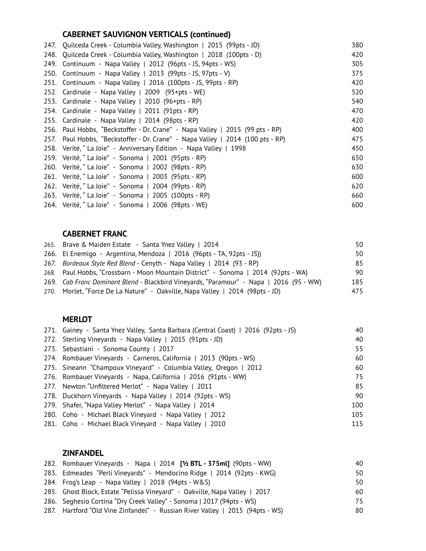## **CABERNET SAUVIGNON VERTICALS (continued)**

|      | 247. Quilceda Creek - Columbia Valley, Washington   2015 (99pts - JD)          | 380 |
|------|--------------------------------------------------------------------------------|-----|
|      | 248. Quilceda Creek - Columbia Valley, Washington   2018 (100pts - D)          | 420 |
| 249. | Continuum - Napa Valley   2012 (96pts - JS, 94pts - WS)                        | 305 |
|      | 250. Continuum - Napa Valley   2013 (99pts - JS, 97pts - V)                    | 375 |
|      | 251. Continuum - Napa Valley   2016 (100pts - JS, 99pts - RP)                  | 420 |
|      | 252. Cardinale - Napa Valley   2009 (95+pts - WE)                              | 520 |
|      | 253. Cardinale - Napa Valley   2010 (96+pts - RP)                              | 540 |
|      | 254. Cardinale - Napa Valley   2011 (91pts - RP)                               | 470 |
|      | 255. Cardinale - Napa Valley   2014 (98pts - RP)                               | 420 |
|      | 256. Paul Hobbs, "Beckstoffer - Dr. Crane" - Napa Valley   2015 (99 pts - RP)  | 400 |
|      | 257. Paul Hobbs, "Beckstoffer - Dr. Crane" - Napa Valley   2014 (100 pts - RP) | 475 |
|      | 258. Verité, "La Joie" - Anniversary Edition - Napa Valley   1998              | 450 |
|      | 259. Verité, "La Joie" - Sonoma   2001 (95pts - RP)                            | 650 |
|      | 260. Verité, "La Joie" - Sonoma   2002 (98pts - RP)                            | 630 |
|      | 261. Verité, "La Joie" - Sonoma   2003 (95pts - RP)                            | 600 |
|      | 262. Verité, "La Joie" - Sonoma   2004 (99pts - RP)                            | 620 |
|      | 263. Verité, "La Joie" - Sonoma   2005 (100pts - RP)                           | 660 |
|      | 264. Verité, "La Joie" - Sonoma   2006 (98pts - WE)                            | 600 |

#### **CABERNET FRANC**

| 265. Brave & Maiden Estate - Santa Ynez Valley   2014                                   | 50  |
|-----------------------------------------------------------------------------------------|-----|
| 266. El Enemigo - Argentina, Mendoza   2016 (96 pts - TA, 92 pts - JS)                  | 50  |
| 267. Bordeaux Style Red Blend - Cenyth - Napa Valley   2014 (93 - RP)                   | 85  |
| 268. Paul Hobbs, "Crossbarn - Moon Mountain District" - Sonoma   2014 (92pts - WA)      | 90  |
| 269. Cab Franc Dominant Blend - Blackbird Vineyards, "Paramour" - Napa   2016 (95 - WW) | 185 |
| 270. Morlet, "Force De La Nature" - Oakville, Napa Valley   2014 (98pts - JD)           | 475 |
|                                                                                         |     |

#### **MERLOT**

| 271. Gainey - Santa Ynez Valley, Santa Barbara (Central Coast)   2016 (92pts - JS) | 40  |
|------------------------------------------------------------------------------------|-----|
| 272. Sterling Vineyards - Napa Valley   2015 (91pts - JD)                          | 40  |
| 273. Sebastiani - Sonoma County   2017                                             | 55  |
| 274. Rombauer Vineyards - Carneros, California   2013 (90pts - WS)                 | 60  |
| 275. Sineann "Champoux Vineyard" - Columbia Valley, Oregon   2012                  | 60  |
| 276. Rombauer Vineyards - Napa, California   2016 (91pts - WW)                     | 75  |
| 277. Newton "Unfiltered Merlot" - Napa Valley   2011                               | 85  |
| 278. Duckhorn Vineyards - Napa Valley   2014 (92pts - WS)                          | 90  |
| 279. Shafer, "Napa Valley Merlot" - Napa Valley   2014                             | 100 |
| 280. Coho - Michael Black Vineyard - Napa Valley   2012                            | 105 |
| 281. Coho - Michael Black Vineyard - Napa Valley   2010                            | 115 |

## **ZINFANDEL**

| 282. Rombauer Vineyards - Napa   2014 <b>[1/2 BTL - 375 ml]</b> (90 pts - WW) | 40  |
|-------------------------------------------------------------------------------|-----|
| 283. Edmeades "Perli Vineyards" - Mendocino Ridge   2014 (92pts - KWG)        | 50. |
| 284. Frog's Leap - Napa Valley   2018 (94pts - W&S)                           | 50  |
| 285. Ghost Block, Estate "Pelissa Vineyard" - Oakville, Napa Valley   2017    | 60  |
| 286. Seghesio Cortina "Dry Creek Valley" - Sonoma   2017 (94pts - WS)         | 75  |
| 287. Hartford "Old Vine Zinfandel" - Russian River Valley   2015 (94pts - WS) | 80  |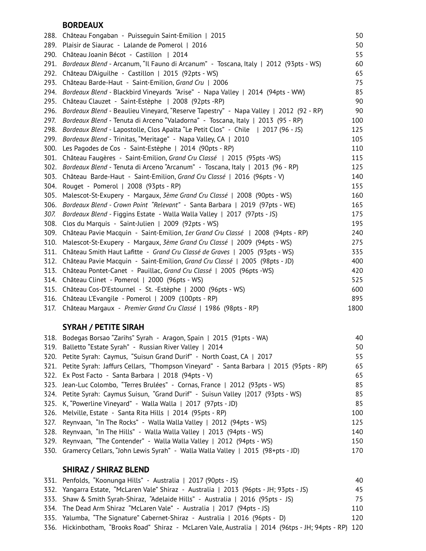#### **BORDEAUX**

| 288. | Château Fongaban - Puisseguin Saint-Emilion   2015                                    | 50   |
|------|---------------------------------------------------------------------------------------|------|
| 289. | Plaisir de Siaurac - Lalande de Pomerol   2016                                        | 50   |
| 290. | Château Joanin Bécot - Castillon   2014                                               | 55   |
| 291. | Bordeaux Blend - Arcanum, "Il Fauno di Arcanum" - Toscana, Italy   2012 (93pts - WS)  | 60   |
| 292. | Château D'Aiguilhe - Castillon   2015 (92pts - WS)                                    | 65   |
| 293. | Château Barde-Haut - Saint-Emilion, Grand Cru   2006                                  | 75   |
| 294. | Bordeaux Blend - Blackbird Vineyards "Arise" - Napa Valley   2014 (94pts - WW)        | 85   |
| 295. | Château Clauzet - Saint-Estèphe   2008 (92pts -RP)                                    | 90   |
| 296. | Bordeaux Blend - Beaulieu Vineyard, "Reserve Tapestry" - Napa Valley   2012 (92 - RP) | 90   |
| 297. | Bordeaux Blend - Tenuta di Arceno "Valadorna" - Toscana, Italy   2013 (95 - RP)       | 100  |
| 298. | Bordeaux Blend - Lapostolle, Clos Apalta "Le Petit Clos" - Chile   2017 (96 - JS)     | 125  |
| 299. | Bordeaux Blend - Trinitas, "Meritage" - Napa Valley, CA   2010                        | 105  |
| 300. | Les Pagodes de Cos - Saint-Estèphe   2014 (90pts - RP)                                | 110  |
| 301. | Château Faugères - Saint-Emilion, Grand Cru Classé   2015 (95pts -WS)                 | 115  |
| 302. | Bordeaux Blend - Tenuta di Arceno "Arcanum" - Toscana, Italy   2013 (96 - RP)         | 125  |
| 303. | Château Barde-Haut - Saint-Emilion, Grand Cru Classé   2016 (96pts - V)               | 140  |
| 304. | Rouget - Pomerol   2008 (93pts - RP)                                                  | 155  |
| 305. | Malescot-St-Exupery - Margaux, 3ème Grand Cru Classé   2008 (90pts - WS)              | 160  |
| 306. | Bordeaux Blend - Crown Point "Relevant" - Santa Barbara   2019 (97pts - WE)           | 165  |
| 307. | Bordeaux Blend - Figgins Estate - Walla Walla Valley   2017 (97pts - JS)              | 175  |
| 308. | Clos du Marquis - Saint-Julien   2009 (92pts - WS)                                    | 195  |
| 309. | Château Pavie Macquin - Saint-Emilion, 1er Grand Cru Classé   2008 (94pts - RP)       | 240  |
| 310. | Malescot-St-Exupery - Margaux, 3ème Grand Cru Classé   2009 (94pts - WS)              | 275  |
| 311. | Château Smith Haut Lafitte - Grand Cru Classé de Graves   2005 (93pts - WS)           | 335  |
| 312. | Château Pavie Macquin - Saint-Emilion, Grand Cru Classé   2005 (98pts - JD)           | 400  |
| 313. | Château Pontet-Canet - Pauillac, Grand Cru Classé   2005 (96pts -WS)                  | 420  |
| 314. | Château Clinet - Pomerol   2000 (96pts - WS)                                          | 525  |
| 315. | Château Cos-D'Estournel - St. -Estèphe   2000 (96pts - WS)                            | 600  |
| 316. | Château L'Evangile - Pomerol   2009 (100pts - RP)                                     | 895  |
| 317. | Château Margaux - Premier Grand Cru Classé   1986 (98pts - RP)                        | 1800 |

## **SYRAH / PETITE SIRAH**

| 318. | Bodegas Borsao "Zarihs" Syrah - Aragon, Spain   2015 (91pts - WA)                           | 40  |
|------|---------------------------------------------------------------------------------------------|-----|
| 319. | Balletto "Estate Syrah" - Russian River Valley   2014                                       | 50  |
|      | 320. Petite Syrah: Caymus, "Suisun Grand Durif" - North Coast, CA   2017                    | 55  |
|      | 321. Petite Syrah: Jaffurs Cellars, "Thompson Vineyard" - Santa Barbara   2015 (95pts - RP) | 65  |
|      | 322. Ex Post Facto - Santa Barbara   2018 (94pts - V)                                       | 65  |
|      | 323. Jean-Luc Colombo, "Terres Brulées" - Cornas, France   2012 (93pts - WS)                | 85  |
|      | 324. Petite Syrah: Caymus Suisun, "Grand Durif" - Suisun Valley  2017 (93pts - WS)          | 85  |
|      | 325. K, "Powerline Vineyard" - Walla Walla   2017 (97pts - JD)                              | 85  |
|      | 326. Melville, Estate - Santa Rita Hills   2014 (95pts - RP)                                | 100 |
|      | 327. Reynvaan, "In The Rocks" - Walla Walla Valley   2012 (94pts - WS)                      | 125 |
| 328. | Reynvaan, "In The Hills" - Walla Walla Valley   2013 (94pts - WS)                           | 140 |
| 329. | Reynvaan, "The Contender" - Walla Walla Valley   2012 (94pts - WS)                          | 150 |
|      | 330. Gramercy Cellars, "John Lewis Syrah" - Walla Walla Valley   2015 (98+pts - JD)         | 170 |
|      |                                                                                             |     |

## **SHIRAZ / SHIRAZ BLEND**

| 331. Penfolds, "Koonunga Hills" - Australia   2017 (90pts - JS)                                       | 40  |
|-------------------------------------------------------------------------------------------------------|-----|
| 332. Yangarra Estate, "McLaren Vale" Shiraz - Australia   2013 (96pts - JH; 93pts - JS)               | 45  |
| 333. Shaw & Smith Syrah-Shiraz, "Adelaide Hills" - Australia   2016 (95pts - JS)                      | 75  |
| 334. The Dead Arm Shiraz "McLaren Vale" - Australia   2017 (94pts - JS)                               | 110 |
| 335. Yalumba, "The Signature" Cabernet-Shiraz - Australia   2016 (96pts - D)                          | 120 |
| 336. Hickinbotham, "Brooks Road" Shiraz - McLaren Vale, Australia   2014 (96tps - JH; 94pts - RP) 120 |     |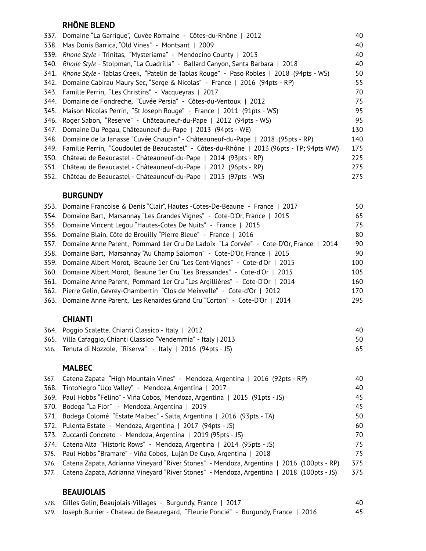## **RHÔNE BLEND**

| 337. | Domaine "La Garrique", Cuvée Romaine - Côtes-du-Rhône   2012                             | 40  |
|------|------------------------------------------------------------------------------------------|-----|
| 338. | Mas Donis Barrica, "Old Vines" - Montsant   2009                                         | 40  |
| 339. | Rhone Style - Trinitas, "Mysteriama" - Mendocino County   2013                           | 40  |
| 340. | Rhone Style - Stolpman, "La Cuadrilla" - Ballard Canyon, Santa Barbara   2018            | 40  |
| 341. | Rhone Style - Tablas Creek, "Patelin de Tablas Rouge" - Paso Robles   2018 (94pts - WS)  | 50  |
| 342. | Domaine Cabirau Maury Sec, "Serge & Nicolas" - France   2016 (94pts - RP)                | 55  |
|      | 343. Famille Perrin, "Les Christins" - Vacqueyras   2017                                 | 70  |
| 344. | Domaine de Fondreche, "Cuvée Persia" - Côtes-du-Ventoux   2012                           | 75  |
| 345. | Maison Nicolas Perrin, "St Joseph Rouge" - France   2011 (91pts - WS)                    | 95  |
| 346. | Roger Sabon, "Reserve" - Châteauneuf-du-Pape   2012 (94pts - WS)                         | 95  |
| 347. | Domaine Du Pegau, Châteauneuf-du-Pape   2013 (94pts - WE)                                | 130 |
| 348. | Domaine de la Janasse "Cuvée Chaupin" - Châteauneuf-du-Pape   2018 (95pts - RP)          | 140 |
| 349. | Famille Perrin, "Coudoulet de Beaucastel" - Côtes-du-Rhône   2013 (96pts - TP; 94pts WW) | 175 |
| 350. | Château de Beaucastel - Châteauneuf-du-Pape   2014 (93pts - RP)                          | 225 |
| 351. | Château de Beaucastel - Châteauneuf-du-Pape   2012 (96pts - RP)                          | 275 |
|      | 352. Château de Beaucastel - Châteauneuf-du-Pape   2015 (97pts - WS)                     | 275 |
|      |                                                                                          |     |

#### **BURGUNDY**

| 353. Domaine Francoise & Denis "Clair", Hautes -Cotes-De-Beaune - France   2017            | 50  |
|--------------------------------------------------------------------------------------------|-----|
| 354. Domaine Bart, Marsannay "Les Grandes Vignes" - Cote-D'Or, France   2015               | 65  |
| 355. Domaine Vincent Legou "Hautes-Cotes De Nuits" - France   2015                         | 75  |
| 356. Domaine Blain, Côte de Brouilly "Pierre Bleue" - France   2016                        | 80  |
| 357. Domaine Anne Parent, Pommard 1er Cru De Ladoix "La Corvée" - Cote-D'Or, France   2014 | 90  |
| 358. Domaine Bart, Marsannay "Au Champ Salomon" - Cote-D'Or, France   2015                 | 90  |
| 359. Domaine Albert Morot, Beaune 1er Cru "Les Cent-Vignes" - Cote-d'Or   2015             | 100 |
| 360. Domaine Albert Morot, Beaune 1er Cru "Les Bressandes" - Cote-d'Or   2015              | 105 |
| 361. Domaine Anne Parent, Pommard 1er Cru "Les Argillières" - Cote-D'Or   2014             | 160 |
| 362. Pierre Gelin, Gevrey-Chambertin "Clos de Meixvelle" - Cote-d'Or   2012                | 170 |
| 363. Domaine Anne Parent, Les Renardes Grand Cru "Corton" - Cote-D'Or   2014               | 295 |
|                                                                                            |     |

## **CHIANTI**

| 364. Poggio Scalette. Chianti Classico - Italy   2012            | 40 |
|------------------------------------------------------------------|----|
| 365. Villa Cafaggio, Chianti Classico "Vendemmia" - Italy   2013 |    |
| 366. Tenuta di Nozzole, "Riserva" - Italy   2016 (94pts - JS)    | 65 |

#### **MALBEC**

| 367. Catena Zapata "High Mountain Vines" - Mendoza, Argentina   2016 (92pts - RP)              | 40  |
|------------------------------------------------------------------------------------------------|-----|
| 368. TintoNegro "Uco Valley" - Mendoza, Argentina   2017                                       | 40  |
| 369. Paul Hobbs "Felino" - Viña Cobos, Mendoza, Argentina   2015 (91pts - JS)                  | 45  |
| 370. Bodega "La Flor" - Mendoza, Argentina   2019                                              | 45  |
| 371. Bodega Colomé "Estate Malbec" - Salta, Argentina   2016 (93pts - TA)                      | 50  |
| 372. Pulenta Estate - Mendoza, Argentina   2017 (94pts - JS)                                   | 60  |
| 373. Zuccardi Concreto - Mendoza, Argentina   2019 (95pts - JS)                                | 70  |
| 374. Catena Alta "Historic Rows" - Mendoza, Argentina   2014 (95pts - JS)                      | 75  |
| 375. Paul Hobbs "Bramare" - Viña Cobos, Luján De Cuyo, Argentina   2018                        | 75  |
| 376. Catena Zapata, Adrianna Vineyard "River Stones" - Mendoza, Argentina   2016 (100pts - RP) | 375 |
| 377. Catena Zapata, Adrianna Vineyard "River Stones" - Mendoza, Argentina   2018 (100pts - JS) | 375 |
|                                                                                                |     |

### **BEAUJOLAIS**

| 378. Gilles Gelin, Beaujolais-Villages - Burgundy, France   2017                        | 40 |
|-----------------------------------------------------------------------------------------|----|
| 379. Joseph Burrier - Chateau de Beauregard, "Fleurie Poncié" - Burgundy, France   2016 | 45 |